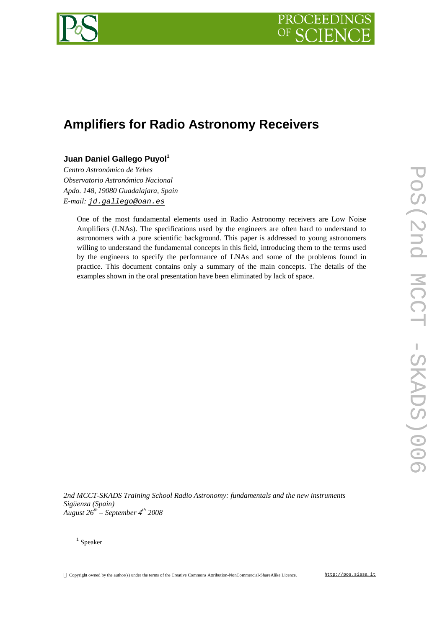

# **Amplifiers for Radio Astronomy Receivers**

## **Juan Daniel Gallego Puyol<sup>1</sup>**

*Centro Astronómico de Yebes Observatorio Astronómico Nacional Apdo. 148, 19080 Guadalajara, Spain E-mail: [jd.gallego@oan.es](mailto:jd.gallego@oan.es)*

> One of the most fundamental elements used in Radio Astronomy receivers are Low Noise Amplifiers (LNAs). The specifications used by the engineers are often hard to understand to astronomers with a pure scientific background. This paper is addressed to young astronomers willing to understand the fundamental concepts in this field, introducing them to the terms used by the engineers to specify the performance of LNAs and some of the problems found in practice. This document contains only a summary of the main concepts. The details of the examples shown in the oral presentation have been eliminated by lack of space.

*2nd MCCT-SKADS Training School Radio Astronomy: fundamentals and the new instruments Sigüenza (Spain) August 26th – September 4th 2008*

 $\overline{a}$ 

Copyright owned by the author(s) under the terms of the Creative Commons Attribution-NonCommercial-ShareAlike Licence. <http://pos.sissa.it>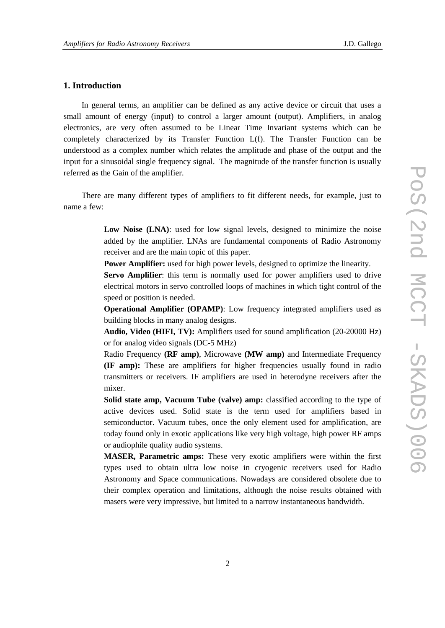## **1. Introduction**

In general terms, an amplifier can be defined as any active device or circuit that uses a small amount of energy (input) to control a larger amount (output). Amplifiers, in analog electronics, are very often assumed to be Linear Time Invariant systems which can be completely characterized by its Transfer Function L(f). The Transfer Function can be understood as a complex number which relates the amplitude and phase of the output and the input for a sinusoidal single frequency signal. The magnitude of the transfer function is usually referred as the Gain of the amplifier.

There are many different types of amplifiers to fit different needs, for example, just to name a few:

> **Low Noise (LNA)**: used for low signal levels, designed to minimize the noise added by the amplifier. LNAs are fundamental components of Radio Astronomy receiver and are the main topic of this paper.

**Power Amplifier:** used for high power levels, designed to optimize the linearity.

**Servo Amplifier**: this term is normally used for power amplifiers used to drive electrical motors in servo controlled loops of machines in which tight control of the speed or position is needed.

**Operational Amplifier (OPAMP)**: Low frequency integrated amplifiers used as building blocks in many analog designs.

**Audio, Video (HIFI, TV):** Amplifiers used for sound amplification (20-20000 Hz) or for analog video signals (DC-5 MHz)

Radio Frequency **(RF amp)**, Microwave **(MW amp)** and Intermediate Frequency **(IF amp):** These are amplifiers for higher frequencies usually found in radio transmitters or receivers. IF amplifiers are used in heterodyne receivers after the mixer.

**Solid state amp, Vacuum Tube (valve) amp:** classified according to the type of active devices used. Solid state is the term used for amplifiers based in semiconductor. Vacuum tubes, once the only element used for amplification, are today found only in exotic applications like very high voltage, high power RF amps or audiophile quality audio systems.

**MASER, Parametric amps:** These very exotic amplifiers were within the first types used to obtain ultra low noise in cryogenic receivers used for Radio Astronomy and Space communications. Nowadays are considered obsolete due to their complex operation and limitations, although the noise results obtained with masers were very impressive, but limited to a narrow instantaneous bandwidth.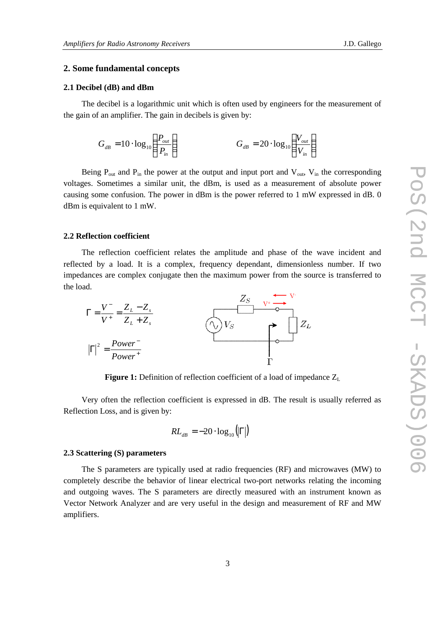## **2. Some fundamental concepts**

#### **2.1 Decibel (dB) and dBm**

The decibel is a logarithmic unit which is often used by engineers for the measurement of the gain of an amplifier. The gain in decibels is given by:

$$
G_{dB} = 10 \cdot \log_{10} \left( \frac{P_{out}}{P_{in}} \right) \qquad G_{dB} = 20 \cdot \log_{10} \left( \frac{V_{out}}{V_{in}} \right)
$$

Being  $P_{out}$  and  $P_{in}$  the power at the output and input port and  $V_{out}$ ,  $V_{in}$  the corresponding voltages. Sometimes a similar unit, the dBm, is used as a measurement of absolute power causing some confusion. The power in dBm is the power referred to 1 mW expressed in dB. 0 dBm is equivalent to 1 mW.

#### **2.2 Reflection coefficient**

The reflection coefficient relates the amplitude and phase of the wave incident and reflected by a load. It is a complex, frequency dependant, dimensionless number. If two impedances are complex conjugate then the maximum power from the source is transferred to the load.



**Figure 1:** Definition of reflection coefficient of a load of impedance Z<sup>L</sup>

Very often the reflection coefficient is expressed in dB. The result is usually referred as Reflection Loss, and is given by:

$$
RL_{dB} = -20 \cdot \log_{10}(|\Gamma|)
$$

#### **2.3 Scattering (S) parameters**

The S parameters are typically used at radio frequencies (RF) and microwaves (MW) to completely describe the behavior of linear electrical two-port networks relating the incoming and outgoing waves. The S parameters are directly measured with an instrument known as Vector Network Analyzer and are very useful in the design and measurement of RF and MW amplifiers.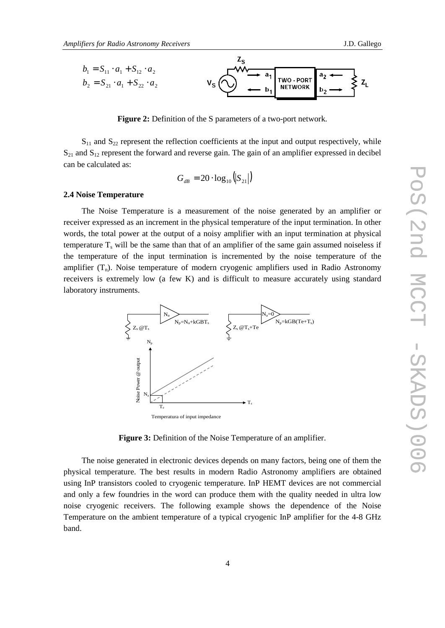

**Figure 2:** Definition of the S parameters of a two-port network.

 $S_{11}$  and  $S_{22}$  represent the reflection coefficients at the input and output respectively, while  $S_{21}$  and  $S_{12}$  represent the forward and reverse gain. The gain of an amplifier expressed in decibel can be calculated as:

$$
G_{dB} = 20 \cdot \log_{10} (S_{21})
$$

#### **2.4 Noise Temperature**

The Noise Temperature is a measurement of the noise generated by an amplifier or receiver expressed as an increment in the physical temperature of the input termination. In other words, the total power at the output of a noisy amplifier with an input termination at physical temperature  $T_s$  will be the same than that of an amplifier of the same gain assumed noiseless if the temperature of the input termination is incremented by the noise temperature of the amplifier  $(T_n)$ . Noise temperature of modern cryogenic amplifiers used in Radio Astronomy receivers is extremely low (a few K) and is difficult to measure accurately using standard laboratory instruments.



**Figure 3:** Definition of the Noise Temperature of an amplifier.

The noise generated in electronic devices depends on many factors, being one of them the physical temperature. The best results in modern Radio Astronomy amplifiers are obtained using InP transistors cooled to cryogenic temperature. InP HEMT devices are not commercial and only a few foundries in the word can produce them with the quality needed in ultra low noise cryogenic receivers. The following example shows the dependence of the Noise Temperature on the ambient temperature of a typical cryogenic InP amplifier for the 4-8 GHz band.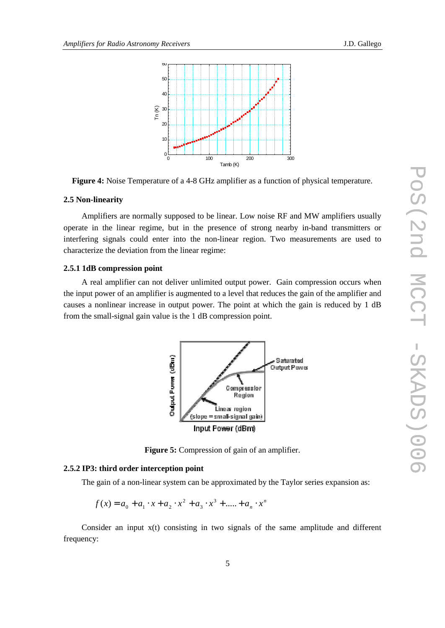



#### **2.5 Non-linearity**

Amplifiers are normally supposed to be linear. Low noise RF and MW amplifiers usually operate in the linear regime, but in the presence of strong nearby in-band transmitters or interfering signals could enter into the non-linear region. Two measurements are used to characterize the deviation from the linear regime:

#### **2.5.1 1dB compression point**

A real amplifier can not deliver unlimited output power. Gain compression occurs when the input power of an amplifier is augmented to a level that reduces the gain of the amplifier and causes a nonlinear increase in output power. The point at which the gain is reduced by 1 dB from the small-signal gain value is the 1 dB compression point.



**Figure 5:** Compression of gain of an amplifier.

#### **2.5.2 IP3: third order interception point**

The gain of a non-linear system can be approximated by the Taylor series expansion as:

$$
f(x) = a_0 + a_1 \cdot x + a_2 \cdot x^2 + a_3 \cdot x^3 + \dots + a_n \cdot x^n
$$

Consider an input  $x(t)$  consisting in two signals of the same amplitude and different frequency: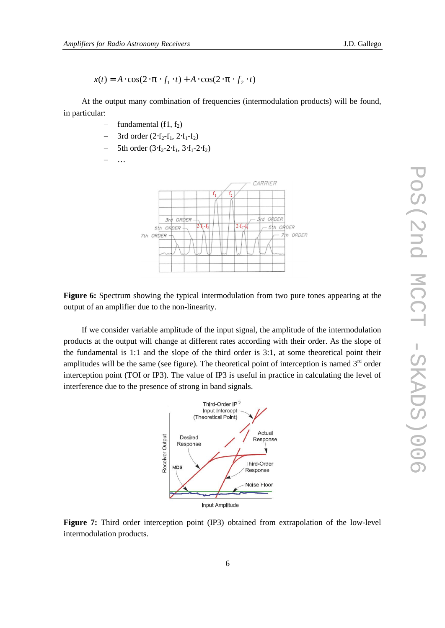At the output many combination of frequencies (intermodulation products) will be found, in particular:

- fundamental  $(f1, f2)$
- 3rd order  $(2·f<sub>2</sub>-f<sub>1</sub>, 2·f<sub>1</sub>-f<sub>2</sub>)$
- 5th order  $(3·f<sub>2</sub>·2·f<sub>1</sub>, 3·f<sub>1</sub>·2·f<sub>2</sub>)$

 $\ddotsc$ 



**Figure 6:** Spectrum showing the typical intermodulation from two pure tones appearing at the output of an amplifier due to the non-linearity.

If we consider variable amplitude of the input signal, the amplitude of the intermodulation products at the output will change at different rates according with their order. As the slope of the fundamental is 1:1 and the slope of the third order is 3:1, at some theoretical point their amplitudes will be the same (see figure). The theoretical point of interception is named  $3<sup>rd</sup>$  order interception point (TOI or IP3). The value of IP3 is useful in practice in calculating the level of interference due to the presence of strong in band signals.



**Figure 7:** Third order interception point (IP3) obtained from extrapolation of the low-level  $A \cdot \cos(2 \cdot p \cdot f_2 \cdot t)$  intermodulation products.)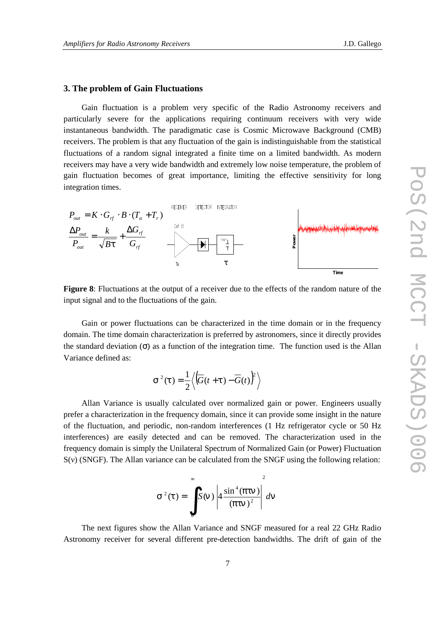## **3. The problem of Gain Fluctuations**

Gain fluctuation is a problem very specific of the Radio Astronomy receivers and particularly severe for the applications requiring continuum receivers with very wide instantaneous bandwidth. The paradigmatic case is Cosmic Microwave Background (CMB) receivers. The problem is that any fluctuation of the gain is indistinguishable from the statistical fluctuations of a random signal integrated a finite time on a limited bandwidth. As modern receivers may have a very wide bandwidth and extremely low noise temperature, the problem of gain fluctuation becomes of great importance, limiting the effective sensitivity for long integration times.



**Figure 8**: Fluctuations at the output of a receiver due to the effects of the random nature of the input signal and to the fluctuations of the gain.

Gain or power fluctuations can be characterized in the time domain or in the frequency domain. The time domain characterization is preferred by astronomers, since it directly provides the standard deviation  $(\sigma)$  as a function of the integration time. The function used is the Allan Variance defined as:

$$
s^{2}(t) = \frac{1}{2} \left\langle \left( \overline{G}(t+t) - \overline{G}(t) \right)^{2} \right\rangle
$$

Allan Variance is usually calculated over normalized gain or power. Engineers usually prefer a characterization in the frequency domain, since it can provide some insight in the nature of the fluctuation, and periodic, non-random interferences (1 Hz refrigerator cycle or 50 Hz interferences) are easily detected and can be removed. The characterization used in the frequency domain is simply the Unilateral Spectrum of Normalized Gain (or Power) Fluctuation S(v) (SNGF). The Allan variance can be calculated from the SNGF using the following relation:

$$
s^{2}(t) = \int_{0}^{\infty} S(n) \left| 4 \frac{\sin^{4}(ptn)}{(ptn)^{2}} \right|^{2} dn
$$

The next figures show the Allan Variance and SNGF measured for a real 22 GHz Radio Astronomy receiver for several different pre-detection bandwidths. The drift of gain of the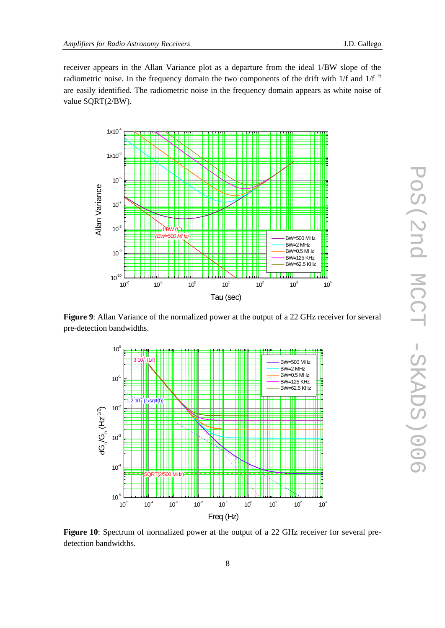receiver appears in the Allan Variance plot as a departure from the ideal 1/BW slope of the radiometric noise. In the frequency domain the two components of the drift with 1/f and 1/f  $\frac{1}{2}$ are easily identified. The radiometric noise in the frequency domain appears as white noise of value SQRT(2/BW).



**Figure 9**: Allan Variance of the normalized power at the output of a 22 GHz receiver for several pre-detection bandwidths.



**Figure 10**: Spectrum of normalized power at the output of a 22 GHz receiver for several predetection bandwidths.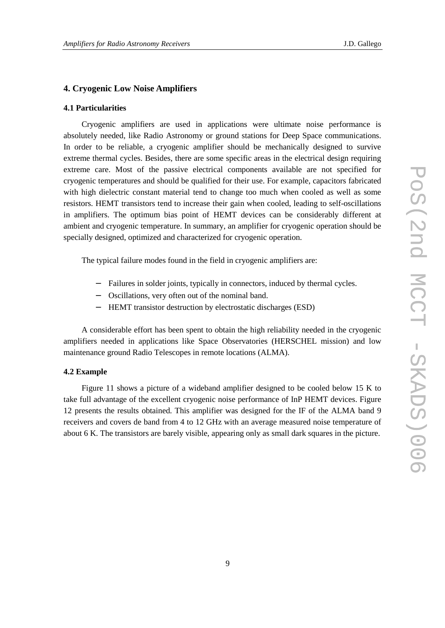## **4. Cryogenic Low Noise Amplifiers**

#### **4.1 Particularities**

Cryogenic amplifiers are used in applications were ultimate noise performance is absolutely needed, like Radio Astronomy or ground stations for Deep Space communications. In order to be reliable, a cryogenic amplifier should be mechanically designed to survive extreme thermal cycles. Besides, there are some specific areas in the electrical design requiring extreme care. Most of the passive electrical components available are not specified for cryogenic temperatures and should be qualified for their use. For example, capacitors fabricated with high dielectric constant material tend to change too much when cooled as well as some resistors. HEMT transistors tend to increase their gain when cooled, leading to self-oscillations in amplifiers. The optimum bias point of HEMT devices can be considerably different at ambient and cryogenic temperature. In summary, an amplifier for cryogenic operation should be specially designed, optimized and characterized for cryogenic operation.

The typical failure modes found in the field in cryogenic amplifiers are:

- − Failures in solder joints, typically in connectors, induced by thermal cycles.
- − Oscillations, very often out of the nominal band.
- − HEMT transistor destruction by electrostatic discharges (ESD)

A considerable effort has been spent to obtain the high reliability needed in the cryogenic amplifiers needed in applications like Space Observatories (HERSCHEL mission) and low maintenance ground Radio Telescopes in remote locations (ALMA).

#### **4.2 Example**

Figure 11 shows a picture of a wideband amplifier designed to be cooled below 15 K to take full advantage of the excellent cryogenic noise performance of InP HEMT devices. Figure 12 presents the results obtained. This amplifier was designed for the IF of the ALMA band 9 receivers and covers de band from 4 to 12 GHz with an average measured noise temperature of about 6 K. The transistors are barely visible, appearing only as small dark squares in the picture.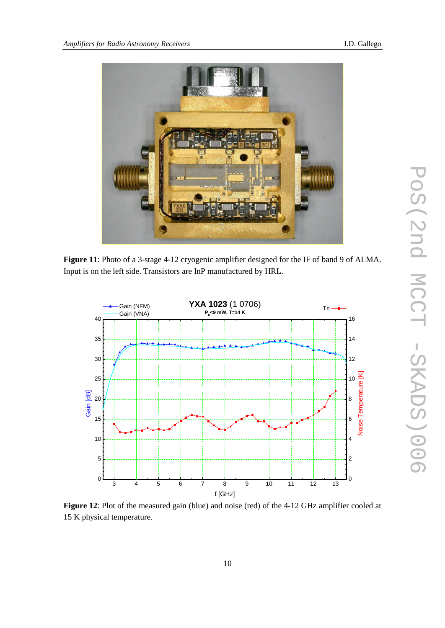

**Figure 11**: Photo of a 3-stage 4-12 cryogenic amplifier designed for the IF of band 9 of ALMA. Input is on the left side. Transistors are InP manufactured by HRL.



**Figure 12**: Plot of the measured gain (blue) and noise (red) of the 4-12 GHz amplifier cooled at 15 K physical temperature.